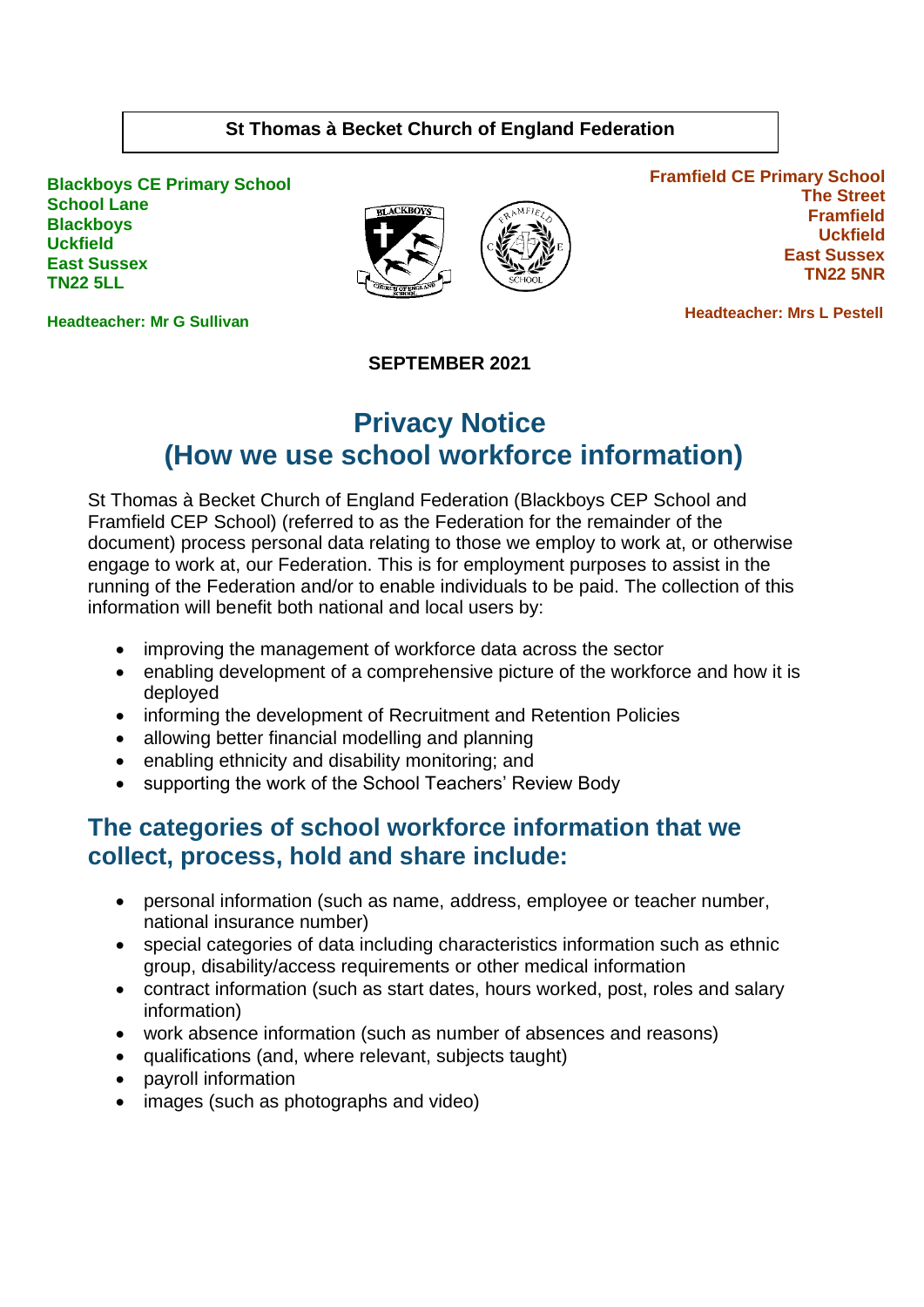#### **St Thomas à Becket Church of England Federation**

**Blackboys CE Primary School School Lane Blackboys Uckfield East Sussex TN22 5LL**



**Framfield CE Primary School The Street Framfield Uckfield East Sussex TN22 5NR**

 **Headteacher: Mrs L Pestell** 

**Headteacher: Mr G Sullivan**

**SEPTEMBER 2021**

# **Privacy Notice (How we use school workforce information)**

St Thomas à Becket Church of England Federation (Blackboys CEP School and Framfield CEP School) (referred to as the Federation for the remainder of the document) process personal data relating to those we employ to work at, or otherwise engage to work at, our Federation. This is for employment purposes to assist in the running of the Federation and/or to enable individuals to be paid. The collection of this information will benefit both national and local users by:

- improving the management of workforce data across the sector
- enabling development of a comprehensive picture of the workforce and how it is deployed
- informing the development of Recruitment and Retention Policies
- allowing better financial modelling and planning
- enabling ethnicity and disability monitoring; and
- supporting the work of the School Teachers' Review Body

### **The categories of school workforce information that we collect, process, hold and share include:**

- personal information (such as name, address, employee or teacher number, national insurance number)
- special categories of data including characteristics information such as ethnic group, disability/access requirements or other medical information
- contract information (such as start dates, hours worked, post, roles and salary information)
- work absence information (such as number of absences and reasons)
- qualifications (and, where relevant, subjects taught)
- payroll information
- images (such as photographs and video)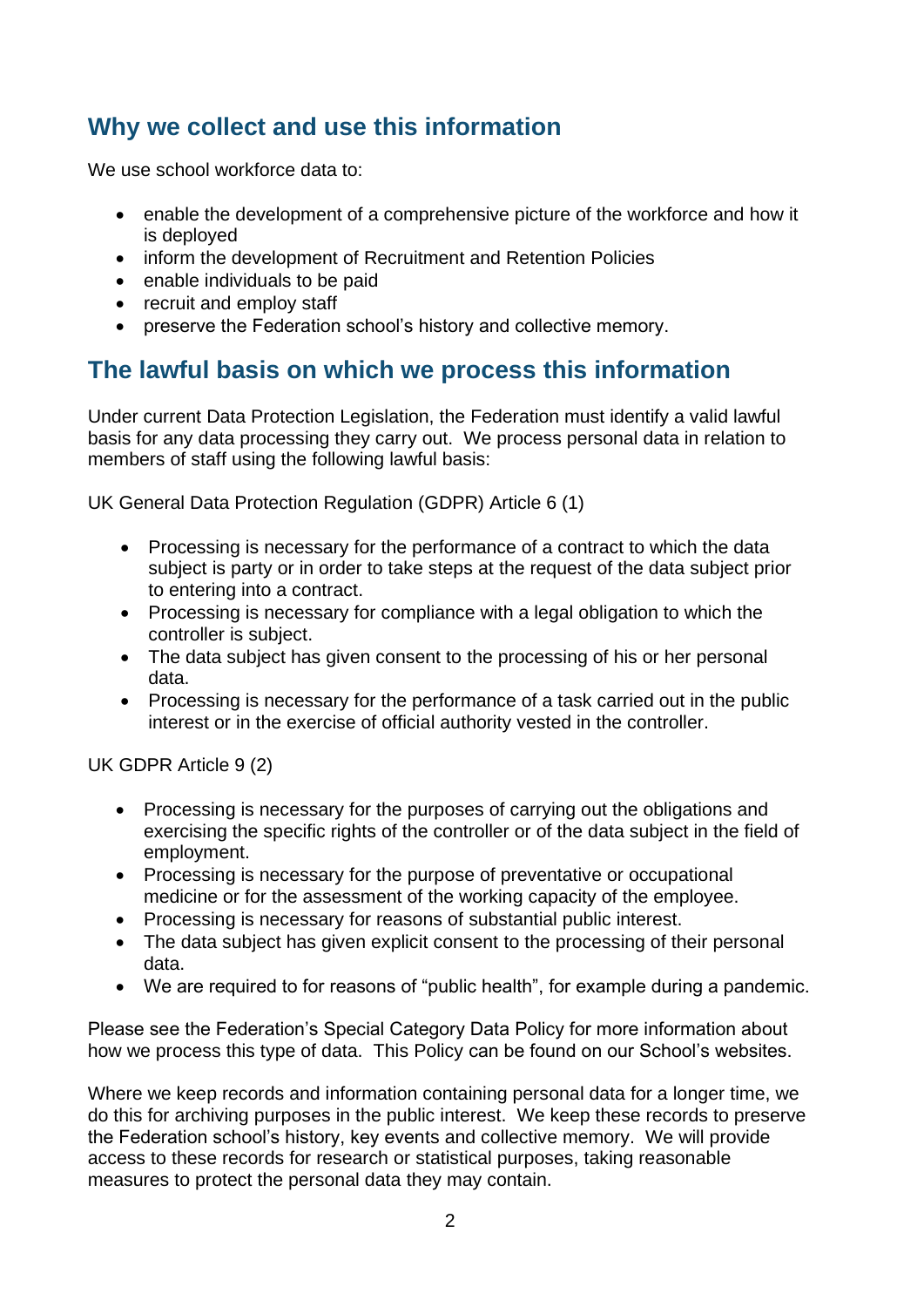# **Why we collect and use this information**

We use school workforce data to:

- enable the development of a comprehensive picture of the workforce and how it is deployed
- inform the development of Recruitment and Retention Policies
- enable individuals to be paid
- recruit and employ staff
- preserve the Federation school's history and collective memory.

### **The lawful basis on which we process this information**

Under current Data Protection Legislation, the Federation must identify a valid lawful basis for any data processing they carry out. We process personal data in relation to members of staff using the following lawful basis:

UK General Data Protection Regulation (GDPR) Article 6 (1)

- Processing is necessary for the performance of a contract to which the data subject is party or in order to take steps at the request of the data subject prior to entering into a contract.
- Processing is necessary for compliance with a legal obligation to which the controller is subject.
- The data subject has given consent to the processing of his or her personal data.
- Processing is necessary for the performance of a task carried out in the public interest or in the exercise of official authority vested in the controller.

UK GDPR Article 9 (2)

- Processing is necessary for the purposes of carrying out the obligations and exercising the specific rights of the controller or of the data subject in the field of employment.
- Processing is necessary for the purpose of preventative or occupational medicine or for the assessment of the working capacity of the employee.
- Processing is necessary for reasons of substantial public interest.
- The data subject has given explicit consent to the processing of their personal data.
- We are required to for reasons of "public health", for example during a pandemic.

Please see the Federation's Special Category Data Policy for more information about how we process this type of data. This Policy can be found on our School's websites.

Where we keep records and information containing personal data for a longer time, we do this for archiving purposes in the public interest. We keep these records to preserve the Federation school's history, key events and collective memory. We will provide access to these records for research or statistical purposes, taking reasonable measures to protect the personal data they may contain.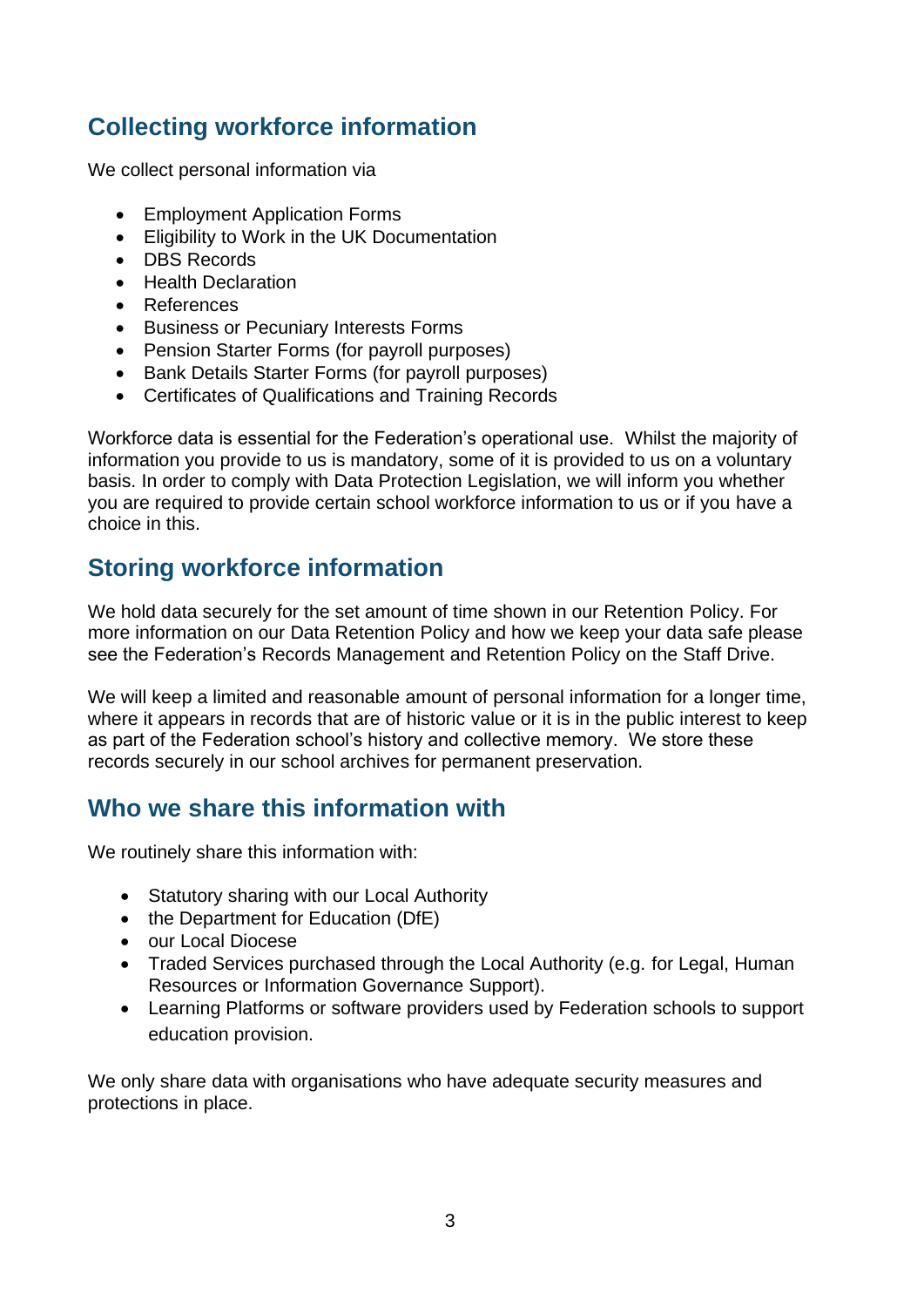# **Collecting workforce information**

We collect personal information via

- Employment Application Forms
- Eligibility to Work in the UK Documentation
- DBS Records
- Health Declaration
- References
- Business or Pecuniary Interests Forms
- Pension Starter Forms (for payroll purposes)
- Bank Details Starter Forms (for payroll purposes)
- Certificates of Qualifications and Training Records

Workforce data is essential for the Federation's operational use. Whilst the majority of information you provide to us is mandatory, some of it is provided to us on a voluntary basis. In order to comply with Data Protection Legislation, we will inform you whether you are required to provide certain school workforce information to us or if you have a choice in this.

# **Storing workforce information**

We hold data securely for the set amount of time shown in our Retention Policy. For more information on our Data Retention Policy and how we keep your data safe please see the Federation's Records Management and Retention Policy on the Staff Drive.

We will keep a limited and reasonable amount of personal information for a longer time, where it appears in records that are of historic value or it is in the public interest to keep as part of the Federation school's history and collective memory. We store these records securely in our school archives for permanent preservation.

# **Who we share this information with**

We routinely share this information with:

- Statutory sharing with our Local Authority
- the Department for Education (DfE)
- our Local Diocese
- Traded Services purchased through the Local Authority (e.g. for Legal, Human Resources or Information Governance Support).
- Learning Platforms or software providers used by Federation schools to support education provision.

We only share data with organisations who have adequate security measures and protections in place.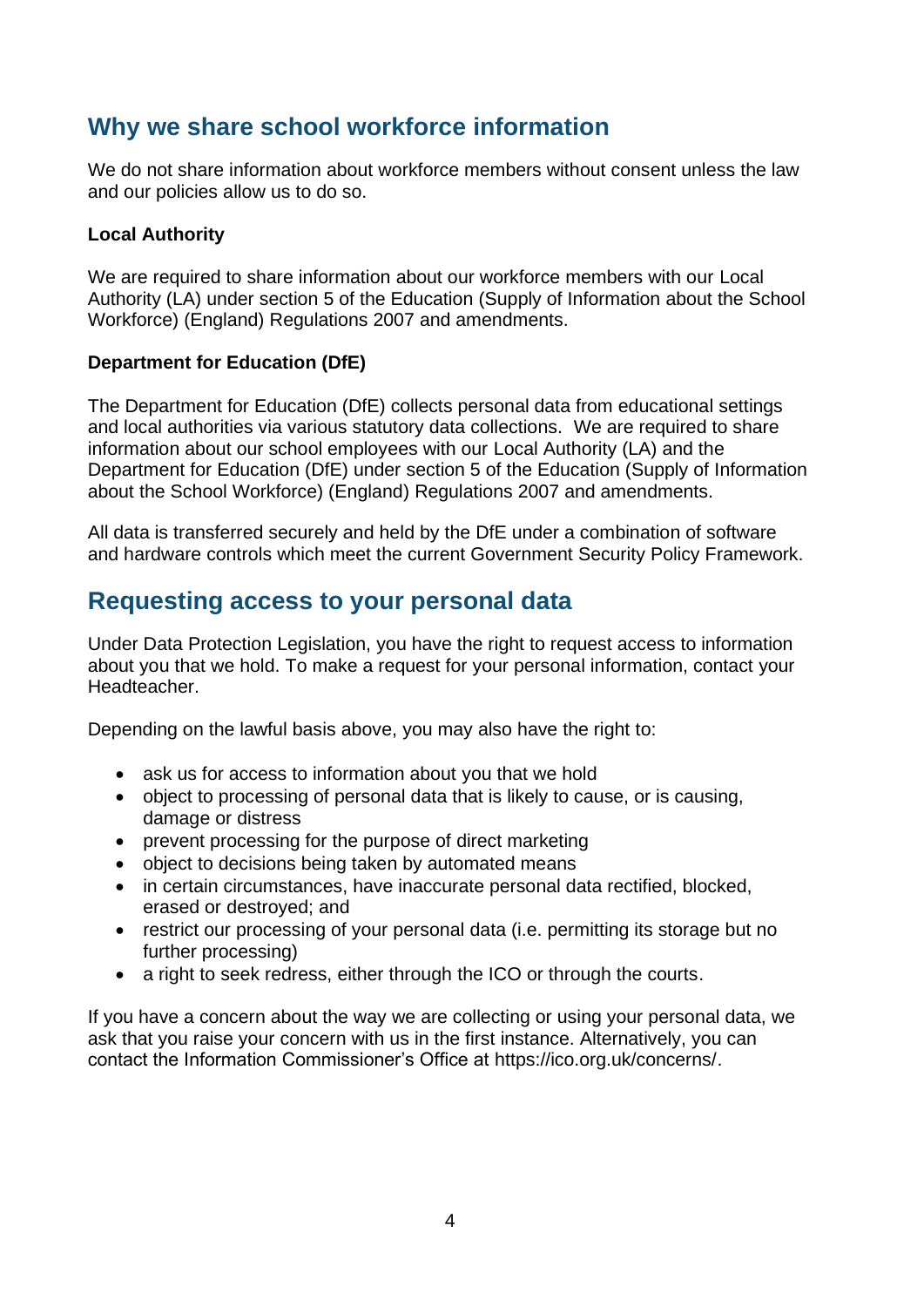## **Why we share school workforce information**

We do not share information about workforce members without consent unless the law and our policies allow us to do so.

#### **Local Authority**

We are required to share information about our workforce members with our Local Authority (LA) under section 5 of the Education (Supply of Information about the School Workforce) (England) Regulations 2007 and amendments.

#### **Department for Education (DfE)**

The Department for Education (DfE) collects personal data from educational settings and local authorities via various statutory data collections. We are required to share information about our school employees with our Local Authority (LA) and the Department for Education (DfE) under section 5 of the Education (Supply of Information about the School Workforce) (England) Regulations 2007 and amendments.

All data is transferred securely and held by the DfE under a combination of software and hardware controls which meet the current Government Security Policy Framework.

## **Requesting access to your personal data**

Under Data Protection Legislation, you have the right to request access to information about you that we hold. To make a request for your personal information, contact your Headteacher.

Depending on the lawful basis above, you may also have the right to:

- ask us for access to information about you that we hold
- object to processing of personal data that is likely to cause, or is causing, damage or distress
- prevent processing for the purpose of direct marketing
- object to decisions being taken by automated means
- in certain circumstances, have inaccurate personal data rectified, blocked, erased or destroyed; and
- restrict our processing of your personal data (i.e. permitting its storage but no further processing)
- a right to seek redress, either through the ICO or through the courts.

If you have a concern about the way we are collecting or using your personal data, we ask that you raise your concern with us in the first instance. Alternatively, you can contact the Information Commissioner's Office at [https://ico.org.uk/concerns/.](https://ico.org.uk/concerns/)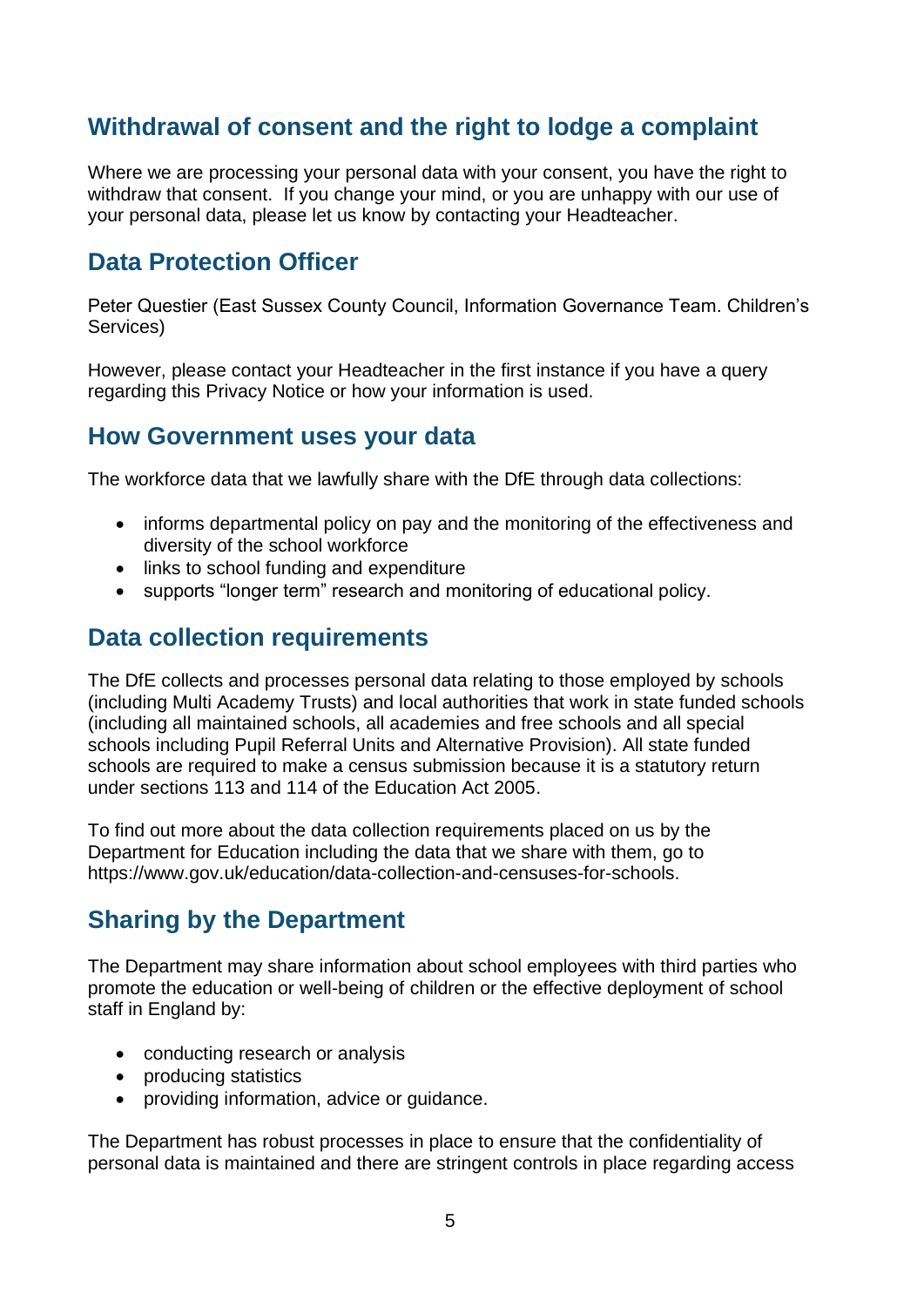# **Withdrawal of consent and the right to lodge a complaint**

Where we are processing your personal data with your consent, you have the right to withdraw that consent. If you change your mind, or you are unhappy with our use of your personal data, please let us know by contacting your Headteacher.

## **Data Protection Officer**

Peter Questier (East Sussex County Council, Information Governance Team. Children's Services)

However, please contact your Headteacher in the first instance if you have a query regarding this Privacy Notice or how your information is used.

### **How Government uses your data**

The workforce data that we lawfully share with the DfE through data collections:

- informs departmental policy on pay and the monitoring of the effectiveness and diversity of the school workforce
- links to school funding and expenditure
- supports "longer term" research and monitoring of educational policy.

### **Data collection requirements**

The DfE collects and processes personal data relating to those employed by schools (including Multi Academy Trusts) and local authorities that work in state funded schools (including all maintained schools, all academies and free schools and all special schools including Pupil Referral Units and Alternative Provision). All state funded schools are required to make a census submission because it is a statutory return under sections 113 and 114 of the Education Act 2005.

To find out more about the data collection requirements placed on us by the Department for Education including the data that we share with them, go to [https://www.gov.uk/education/data-collection-and-censuses-for-schools.](https://www.gov.uk/education/data-collection-and-censuses-for-schools)

# **Sharing by the Department**

The Department may share information about school employees with third parties who promote the education or well-being of children or the effective deployment of school staff in England by:

- conducting research or analysis
- producing statistics
- providing information, advice or guidance.

The Department has robust processes in place to ensure that the confidentiality of personal data is maintained and there are stringent controls in place regarding access